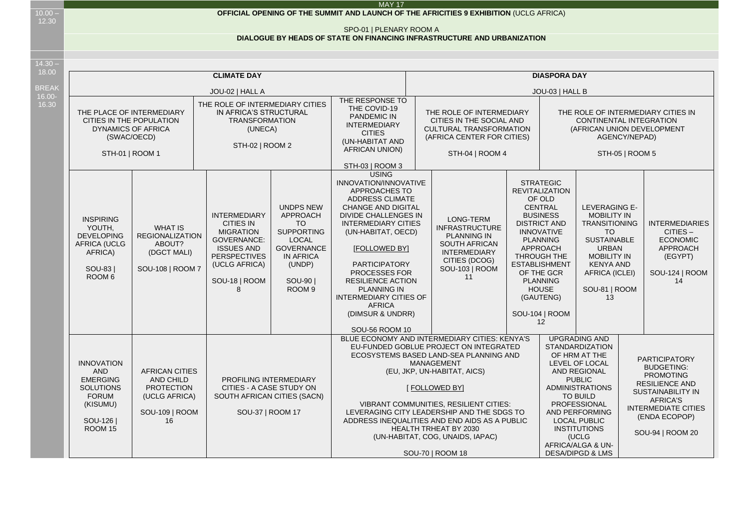$10.00 -$ 12.30

## SPO-01 | PLENARY ROOM A

## **DIALOGUE BY HEADS OF STATE ON FINANCING INFRASTRUCTURE AND URBANIZATION**

14.30 – 18.00

| 10.00              |                                                                                                                                                                                                                                                                                                                                       |                                                                                                                                                                                                                                                               | <b>CLIMATE DAY</b>                                                                                                                                                                                                                                                                                                                                                                                                                       |                                                                                                                                                                   | <b>DIASPORA DAY</b>                                                                                                                                                                                                                                                                                                                                                                         |                                                                                                                                                                                                                                                                                                                                                                                                                                                                                                                          |                                                                                                                                        |                                                                                                                                                                                                                                                                                                         |                                                                                                                                                                                                          |  |                                                                                                       |  |
|--------------------|---------------------------------------------------------------------------------------------------------------------------------------------------------------------------------------------------------------------------------------------------------------------------------------------------------------------------------------|---------------------------------------------------------------------------------------------------------------------------------------------------------------------------------------------------------------------------------------------------------------|------------------------------------------------------------------------------------------------------------------------------------------------------------------------------------------------------------------------------------------------------------------------------------------------------------------------------------------------------------------------------------------------------------------------------------------|-------------------------------------------------------------------------------------------------------------------------------------------------------------------|---------------------------------------------------------------------------------------------------------------------------------------------------------------------------------------------------------------------------------------------------------------------------------------------------------------------------------------------------------------------------------------------|--------------------------------------------------------------------------------------------------------------------------------------------------------------------------------------------------------------------------------------------------------------------------------------------------------------------------------------------------------------------------------------------------------------------------------------------------------------------------------------------------------------------------|----------------------------------------------------------------------------------------------------------------------------------------|---------------------------------------------------------------------------------------------------------------------------------------------------------------------------------------------------------------------------------------------------------------------------------------------------------|----------------------------------------------------------------------------------------------------------------------------------------------------------------------------------------------------------|--|-------------------------------------------------------------------------------------------------------|--|
| <b>BREAK</b>       |                                                                                                                                                                                                                                                                                                                                       |                                                                                                                                                                                                                                                               | JOU-02   HALL A                                                                                                                                                                                                                                                                                                                                                                                                                          |                                                                                                                                                                   |                                                                                                                                                                                                                                                                                                                                                                                             |                                                                                                                                                                                                                                                                                                                                                                                                                                                                                                                          |                                                                                                                                        | JOU-03   HALL B                                                                                                                                                                                                                                                                                         |                                                                                                                                                                                                          |  |                                                                                                       |  |
| $16.00 -$<br>16.30 | THE PLACE OF INTERMEDIARY<br>CITIES IN THE POPULATION<br><b>DYNAMICS OF AFRICA</b><br>(SWAC/OECD)<br>STH-01   ROOM 1                                                                                                                                                                                                                  |                                                                                                                                                                                                                                                               | THE ROLE OF INTERMEDIARY CITIES<br>IN AFRICA'S STRUCTURAL<br><b>TRANSFORMATION</b><br>(UNECA)<br>STH-02   ROOM 2                                                                                                                                                                                                                                                                                                                         |                                                                                                                                                                   | THE RESPONSE TO<br>THE COVID-19<br>PANDEMIC IN<br><b>INTERMEDIARY</b><br><b>CITIES</b><br>(UN-HABITAT AND<br><b>AFRICAN UNION)</b>                                                                                                                                                                                                                                                          | THE ROLE OF INTERMEDIARY<br>CITIES IN THE SOCIAL AND<br><b>CULTURAL TRANSFORMATION</b><br>(AFRICA CENTER FOR CITIES)<br>STH-04   ROOM 4                                                                                                                                                                                                                                                                                                                                                                                  | THE ROLE OF INTERMEDIARY CITIES IN<br><b>CONTINENTAL INTEGRATION</b><br>(AFRICAN UNION DEVELOPMENT<br>AGENCY/NEPAD)<br>STH-05   ROOM 5 |                                                                                                                                                                                                                                                                                                         |                                                                                                                                                                                                          |  |                                                                                                       |  |
|                    |                                                                                                                                                                                                                                                                                                                                       |                                                                                                                                                                                                                                                               |                                                                                                                                                                                                                                                                                                                                                                                                                                          |                                                                                                                                                                   | STH-03   ROOM 3<br><b>USING</b>                                                                                                                                                                                                                                                                                                                                                             |                                                                                                                                                                                                                                                                                                                                                                                                                                                                                                                          |                                                                                                                                        |                                                                                                                                                                                                                                                                                                         |                                                                                                                                                                                                          |  |                                                                                                       |  |
|                    | <b>INSPIRING</b><br>YOUTH,<br><b>DEVELOPING</b><br><b>AFRICA (UCLG</b><br>AFRICA)<br>SOU-83<br>ROOM 6                                                                                                                                                                                                                                 | <b>INTERMEDIARY</b><br><b>CITIES IN</b><br><b>WHAT IS</b><br><b>MIGRATION</b><br><b>REGIONALIZATION</b><br><b>GOVERNANCE:</b><br>ABOUT?<br><b>ISSUES AND</b><br>(DGCT MALI)<br><b>PERSPECTIVES</b><br>(UCLG AFRICA)<br>SOU-108   ROOM 7<br>SOU-18   ROOM<br>8 |                                                                                                                                                                                                                                                                                                                                                                                                                                          | <b>UNDPS NEW</b><br>APPROACH<br><b>TO</b><br><b>SUPPORTING</b><br><b>LOCAL</b><br><b>GOVERNANCE</b><br><b>IN AFRICA</b><br>(UNDP)<br>SOU-901<br>ROOM <sub>9</sub> | INNOVATION/INNOVATIVE<br>APPROACHES TO<br><b>ADDRESS CLIMATE</b><br>CHANGE AND DIGITAL<br><b>DIVIDE CHALLENGES IN</b><br><b>INTERMEDIARY CITIES</b><br>(UN-HABITAT, OECD)<br><b>IFOLLOWED BYI</b><br><b>PARTICIPATORY</b><br>PROCESSES FOR<br><b>RESILIENCE ACTION</b><br><b>PLANNING IN</b><br><b>INTERMEDIARY CITIES OF</b><br><b>AFRICA</b><br>(DIMSUR & UNDRR)<br><b>SOU-56 ROOM 10</b> | LONG-TERM<br><b>INFRASTRUCTURE</b><br><b>PLANNING IN</b><br><b>SOUTH AFRICAN</b><br><b>INTERMEDIARY</b><br>CITIES (DCOG)<br>SOU-103   ROOM<br>11                                                                                                                                                                                                                                                                                                                                                                         |                                                                                                                                        | <b>STRATEGIC</b><br><b>REVITALIZATION</b><br>OF OLD<br><b>CENTRAL</b><br><b>BUSINESS</b><br><b>DISTRICT AND</b><br><b>INNOVATIVE</b><br><b>PLANNING</b><br><b>APPROACH</b><br>THROUGH THE<br><b>ESTABLISHMENT</b><br>OF THE GCR<br><b>PLANNING</b><br><b>HOUSE</b><br>(GAUTENG)<br>SOU-104   ROOM<br>12 | LEVERAGING E-<br><b>MOBILITY IN</b><br><b>TRANSITIONING</b><br><b>TO</b><br><b>SUSTAINABLE</b><br><b>URBAN</b><br><b>MOBILITY IN</b><br><b>KENYA AND</b><br><b>AFRICA (ICLEI)</b><br>SOU-81   ROOM<br>13 |  | <b>INTERMEDIARIES</b><br>$CITIES -$<br><b>ECONOMIC</b><br>APPROACH<br>(EGYPT)<br>SOU-124   ROOM<br>14 |  |
|                    | <b>INNOVATION</b><br><b>AND</b><br><b>AFRICAN CITIES</b><br><b>EMERGING</b><br>AND CHILD<br>PROFILING INTERMEDIARY<br><b>SOLUTIONS</b><br><b>PROTECTION</b><br>CITIES - A CASE STUDY ON<br><b>FORUM</b><br>(UCLG AFRICA)<br>SOUTH AFRICAN CITIES (SACN)<br>(KISUMU)<br>SOU-109   ROOM<br>SOU-37   ROOM 17<br>SOU-126<br>16<br>ROOM 15 |                                                                                                                                                                                                                                                               | BLUE ECONOMY AND INTERMEDIARY CITIES: KENYA'S<br>EU-FUNDED GOBLUE PROJECT ON INTEGRATED<br>ECOSYSTEMS BASED LAND-SEA PLANNING AND<br><b>MANAGEMENT</b><br>(EU, JKP, UN-HABITAT, AICS)<br>[ FOLLOWED BY]<br><b>VIBRANT COMMUNITIES, RESILIENT CITIES:</b><br>LEVERAGING CITY LEADERSHIP AND THE SDGS TO<br>ADDRESS INEQUALITIES AND END AIDS AS A PUBLIC<br>HEALTH TRHEAT BY 2030<br>(UN-HABITAT, COG, UNAIDS, IAPAC)<br>SOU-70   ROOM 18 |                                                                                                                                                                   |                                                                                                                                                                                                                                                                                                                                                                                             | <b>UPGRADING AND</b><br><b>STANDARDIZATION</b><br>OF HRM AT THE<br><b>PARTICIPATORY</b><br>LEVEL OF LOCAL<br><b>BUDGETING:</b><br>AND REGIONAL<br><b>PROMOTING</b><br><b>PUBLIC</b><br><b>RESILIENCE AND</b><br><b>ADMINISTRATIONS</b><br><b>SUSTAINABILITY IN</b><br><b>TO BUILD</b><br><b>AFRICA'S</b><br>PROFESSIONAL<br><b>INTERMEDIATE CITIES</b><br>AND PERFORMING<br>(ENDA ECOPOP)<br><b>LOCAL PUBLIC</b><br><b>INSTITUTIONS</b><br>SOU-94   ROOM 20<br>(UCLG<br>AFRICA/ALGA & UN-<br><b>DESA/DIPGD &amp; LMS</b> |                                                                                                                                        |                                                                                                                                                                                                                                                                                                         |                                                                                                                                                                                                          |  |                                                                                                       |  |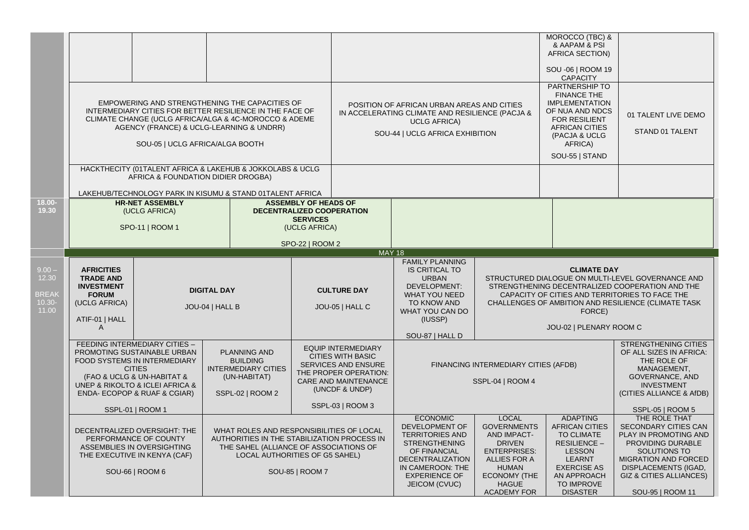|                                                         |                                                                                                                                                                                                                                                                                                                                                                                                                                                                                                               |                                                                                                                                                                                                                                                    |  |                                                                                                                                                                                                                  |               |                                                                                                                                                                                             |                                                                                                                                                                                                                                                                          | MOROCCO (TBC) &<br>& AAPAM & PSI<br><b>AFRICA SECTION)</b><br>SOU -06   ROOM 19<br><b>CAPACITY</b>                                                                                    |                                                                                                                                                                                                               |
|---------------------------------------------------------|---------------------------------------------------------------------------------------------------------------------------------------------------------------------------------------------------------------------------------------------------------------------------------------------------------------------------------------------------------------------------------------------------------------------------------------------------------------------------------------------------------------|----------------------------------------------------------------------------------------------------------------------------------------------------------------------------------------------------------------------------------------------------|--|------------------------------------------------------------------------------------------------------------------------------------------------------------------------------------------------------------------|---------------|---------------------------------------------------------------------------------------------------------------------------------------------------------------------------------------------|--------------------------------------------------------------------------------------------------------------------------------------------------------------------------------------------------------------------------------------------------------------------------|---------------------------------------------------------------------------------------------------------------------------------------------------------------------------------------|---------------------------------------------------------------------------------------------------------------------------------------------------------------------------------------------------------------|
|                                                         |                                                                                                                                                                                                                                                                                                                                                                                                                                                                                                               | EMPOWERING AND STRENGTHENING THE CAPACITIES OF<br>INTERMEDIARY CITIES FOR BETTER RESILIENCE IN THE FACE OF<br>CLIMATE CHANGE (UCLG AFRICA/ALGA & 4C-MOROCCO & ADEME<br>AGENCY (FRANCE) & UCLG-LEARNING & UNDRR)<br>SOU-05   UCLG AFRICA/ALGA BOOTH |  |                                                                                                                                                                                                                  |               | POSITION OF AFRICAN URBAN AREAS AND CITIES<br>IN ACCELERATING CLIMATE AND RESILIENCE (PACJA &<br><b>UCLG AFRICA)</b><br>SOU-44   UCLG AFRICA EXHIBITION                                     |                                                                                                                                                                                                                                                                          | PARTNERSHIP TO<br><b>FINANCE THE</b><br><b>IMPLEMENTATION</b><br>OF NUA AND NDCS<br><b>FOR RESILIENT</b><br><b>AFRICAN CITIES</b><br>(PACJA & UCLG<br>AFRICA)<br>SOU-55   STAND       | 01 TALENT LIVE DEMO<br>STAND 01 TALENT                                                                                                                                                                        |
|                                                         | HACKTHECITY (01TALENT AFRICA & LAKEHUB & JOKKOLABS & UCLG<br>AFRICA & FOUNDATION DIDIER DROGBA)<br>LAKEHUB/TECHNOLOGY PARK IN KISUMU & STAND 01TALENT AFRICA                                                                                                                                                                                                                                                                                                                                                  |                                                                                                                                                                                                                                                    |  |                                                                                                                                                                                                                  |               |                                                                                                                                                                                             |                                                                                                                                                                                                                                                                          |                                                                                                                                                                                       |                                                                                                                                                                                                               |
| 18.00-<br>19.30                                         |                                                                                                                                                                                                                                                                                                                                                                                                                                                                                                               | <b>HR-NET ASSEMBLY</b><br>(UCLG AFRICA)<br>SPO-11   ROOM 1                                                                                                                                                                                         |  | <b>ASSEMBLY OF HEADS OF</b><br>DECENTRALIZED COOPERATION<br><b>SERVICES</b><br>(UCLG AFRICA)<br>SPO-22   ROOM 2                                                                                                  |               |                                                                                                                                                                                             |                                                                                                                                                                                                                                                                          |                                                                                                                                                                                       |                                                                                                                                                                                                               |
|                                                         |                                                                                                                                                                                                                                                                                                                                                                                                                                                                                                               |                                                                                                                                                                                                                                                    |  |                                                                                                                                                                                                                  | <b>MAY 18</b> |                                                                                                                                                                                             |                                                                                                                                                                                                                                                                          |                                                                                                                                                                                       |                                                                                                                                                                                                               |
| $9.00 -$<br>12.30<br><b>BREAK</b><br>$10.30 -$<br>11.00 | <b>AFRICITIES</b><br><b>TRADE AND</b><br><b>INVESTMENT</b><br><b>DIGITAL DAY</b><br><b>FORUM</b><br>(UCLG AFRICA)<br>JOU-04   HALL B<br>ATIF-01   HALL<br>A<br>FEEDING INTERMEDIARY CITIES -<br>PROMOTING SUSTAINABLE URBAN<br>PLANNING AND<br><b>FOOD SYSTEMS IN INTERMEDIARY</b><br><b>BUILDING</b><br><b>CITIES</b><br><b>INTERMEDIARY CITIES</b><br>(FAO & UCLG & UN-HABITAT &<br>(UN-HABITAT)<br>UNEP & RIKOLTO & ICLEI AFRICA &<br>ENDA- ECOPOP & RUAF & CGIAR)<br>SSPL-02   ROOM 2<br>SSPL-01   ROOM 1 |                                                                                                                                                                                                                                                    |  | <b>FAMILY PLANNING</b><br><b>IS CRITICAL TO</b><br><b>URBAN</b><br>DEVELOPMENT:<br><b>CULTURE DAY</b><br><b>WHAT YOU NEED</b><br>TO KNOW AND<br>JOU-05   HALL C<br>WHAT YOU CAN DO<br>(IUSSP)<br>SOU-87   HALL D |               |                                                                                                                                                                                             | <b>CLIMATE DAY</b><br>STRUCTURED DIALOGUE ON MULTI-LEVEL GOVERNANCE AND<br>STRENGTHENING DECENTRALIZED COOPERATION AND THE<br>CAPACITY OF CITIES AND TERRITORIES TO FACE THE<br>CHALLENGES OF AMBITION AND RESILIENCE (CLIMATE TASK<br>FORCE)<br>JOU-02   PLENARY ROOM C |                                                                                                                                                                                       |                                                                                                                                                                                                               |
|                                                         |                                                                                                                                                                                                                                                                                                                                                                                                                                                                                                               |                                                                                                                                                                                                                                                    |  | <b>EQUIP INTERMEDIARY</b><br><b>CITIES WITH BASIC</b><br><b>SERVICES AND ENSURE</b><br>THE PROPER OPERATION:<br>CARE AND MAINTENANCE<br>(UNCDF & UNDP)<br>SSPL-03   ROOM 3                                       |               |                                                                                                                                                                                             | FINANCING INTERMEDIARY CITIES (AFDB)<br>SSPL-04   ROOM 4                                                                                                                                                                                                                 |                                                                                                                                                                                       | <b>STRENGTHENING CITIES</b><br>OF ALL SIZES IN AFRICA:<br>THE ROLE OF<br>MANAGEMENT,<br>GOVERNANCE, AND<br><b>INVESTMENT</b><br>(CITIES ALLIANCE & AfDB)<br>SSPL-05   ROOM 5                                  |
|                                                         | DECENTRALIZED OVERSIGHT: THE<br>PERFORMANCE OF COUNTY<br>ASSEMBLIES IN OVERSIGHTING<br>THE EXECUTIVE IN KENYA (CAF)<br>SOU-66   ROOM 6                                                                                                                                                                                                                                                                                                                                                                        |                                                                                                                                                                                                                                                    |  | WHAT ROLES AND RESPONSIBILITIES OF LOCAL<br>AUTHORITIES IN THE STABILIZATION PROCESS IN<br>THE SAHEL (ALLIANCE OF ASSOCIATIONS OF<br>LOCAL AUTHORITIES OF G5 SAHEL)<br>SOU-85   ROOM 7                           |               | <b>ECONOMIC</b><br><b>DEVELOPMENT OF</b><br><b>TERRITORIES AND</b><br><b>STRENGTHENING</b><br>OF FINANCIAL<br>DECENTRALIZATION<br>IN CAMEROON: THE<br><b>EXPERIENCE OF</b><br>JEICOM (CVUC) | <b>LOCAL</b><br><b>GOVERNMENTS</b><br><b>AND IMPACT-</b><br><b>DRIVEN</b><br><b>ENTERPRISES:</b><br>ALLIES FOR A<br><b>HUMAN</b><br><b>ECONOMY (THE</b><br><b>HAGUE</b><br><b>ACADEMY FOR</b>                                                                            | <b>ADAPTING</b><br><b>AFRICAN CITIES</b><br><b>TO CLIMATE</b><br>RESILIENCE -<br><b>LESSON</b><br><b>LEARNT</b><br><b>EXERCISE AS</b><br>AN APPROACH<br>TO IMPROVE<br><b>DISASTER</b> | THE ROLE THAT<br>SECONDARY CITIES CAN<br>PLAY IN PROMOTING AND<br>PROVIDING DURABLE<br>SOLUTIONS TO<br>MIGRATION AND FORCED<br>DISPLACEMENTS (IGAD,<br><b>GIZ &amp; CITIES ALLIANCES)</b><br>SOU-95   ROOM 11 |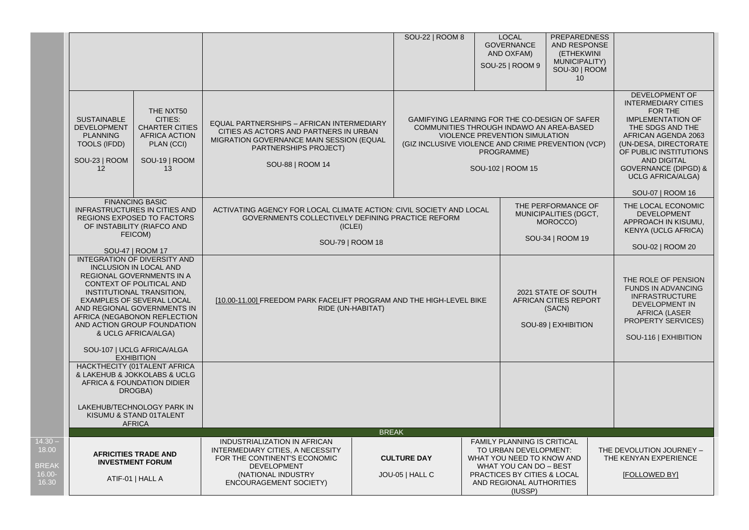|                                                       |                                                                                                                                                                                                                                                                                                                                     |                                                                                                                                                                                     |                                                                                                                                                                               |                                                                                                                                                                                                                                        | SOU-22   ROOM 8                                                               | <b>LOCAL</b><br><b>GOVERNANCE</b><br>AND OXFAM)<br>SOU-25   ROOM 9                                                                                                                | <b>PREPAREDNESS</b><br>AND RESPONSE<br>(ETHEKWINI<br><b>MUNICIPALITY)</b><br>SOU-30   ROOM<br>10 |                                                                                                                                                                                                                                                                                            |                                                                           |
|-------------------------------------------------------|-------------------------------------------------------------------------------------------------------------------------------------------------------------------------------------------------------------------------------------------------------------------------------------------------------------------------------------|-------------------------------------------------------------------------------------------------------------------------------------------------------------------------------------|-------------------------------------------------------------------------------------------------------------------------------------------------------------------------------|----------------------------------------------------------------------------------------------------------------------------------------------------------------------------------------------------------------------------------------|-------------------------------------------------------------------------------|-----------------------------------------------------------------------------------------------------------------------------------------------------------------------------------|--------------------------------------------------------------------------------------------------|--------------------------------------------------------------------------------------------------------------------------------------------------------------------------------------------------------------------------------------------------------------------------------------------|---------------------------------------------------------------------------|
|                                                       | THE NXT50<br><b>SUSTAINABLE</b><br>CITIES:<br><b>DEVELOPMENT</b><br><b>CHARTER CITIES</b><br>AFRICA ACTION<br><b>PLANNING</b><br><b>TOOLS (IFDD)</b><br>PLAN (CCI)<br>SOU-23   ROOM<br>SOU-19   ROOM<br>12<br>13                                                                                                                    |                                                                                                                                                                                     | EQUAL PARTNERSHIPS - AFRICAN INTERMEDIARY<br>CITIES AS ACTORS AND PARTNERS IN URBAN<br>MIGRATION GOVERNANCE MAIN SESSION (EQUAL<br>PARTNERSHIPS PROJECT)<br>SOU-88   ROOM 14  |                                                                                                                                                                                                                                        | (GIZ INCLUSIVE VIOLENCE AND CRIME PREVENTION (VCP)                            | GAMIFYING LEARNING FOR THE CO-DESIGN OF SAFER<br>COMMUNITIES THROUGH INDAWO AN AREA-BASED<br>VIOLENCE PREVENTION SIMULATION<br>PROGRAMME)<br>SOU-102   ROOM 15                    |                                                                                                  | DEVELOPMENT OF<br><b>INTERMEDIARY CITIES</b><br>FOR THE<br><b>IMPLEMENTATION OF</b><br>THE SDGS AND THE<br>AFRICAN AGENDA 2063<br>(UN-DESA, DIRECTORATE<br>OF PUBLIC INSTITUTIONS<br><b>AND DIGITAL</b><br><b>GOVERNANCE (DIPGD) &amp;</b><br><b>UCLG AFRICA/ALGA)</b><br>SOU-07   ROOM 16 |                                                                           |
|                                                       |                                                                                                                                                                                                                                                                                                                                     | <b>FINANCING BASIC</b><br><b>INFRASTRUCTURES IN CITIES AND</b><br>REGIONS EXPOSED TO FACTORS<br>OF INSTABILITY (RIAFCO AND<br>FEICOM)<br>SOU-47   ROOM 17                           |                                                                                                                                                                               | THE PERFORMANCE OF<br>ACTIVATING AGENCY FOR LOCAL CLIMATE ACTION: CIVIL SOCIETY AND LOCAL<br>MUNICIPALITIES (DGCT,<br>GOVERNMENTS COLLECTIVELY DEFINING PRACTICE REFORM<br>MOROCCO)<br>(ICLEI)<br>SOU-34   ROOM 19<br>SOU-79   ROOM 18 |                                                                               |                                                                                                                                                                                   |                                                                                                  |                                                                                                                                                                                                                                                                                            |                                                                           |
|                                                       | INTEGRATION OF DIVERSITY AND<br><b>INCLUSION IN LOCAL AND</b><br>REGIONAL GOVERNMENTS IN A<br>CONTEXT OF POLITICAL AND<br>INSTITUTIONAL TRANSITION,<br>EXAMPLES OF SEVERAL LOCAL<br>AND REGIONAL GOVERNMENTS IN<br>AFRICA (NEGABONON REFLECTION<br>AND ACTION GROUP FOUNDATION<br>& UCLG AFRICA/ALGA)<br>SOU-107   UCLG AFRICA/ALGA |                                                                                                                                                                                     | [10.00-11.00] FREEDOM PARK FACELIFT PROGRAM AND THE HIGH-LEVEL BIKE<br>RIDE (UN-HABITAT)                                                                                      |                                                                                                                                                                                                                                        | 2021 STATE OF SOUTH<br>AFRICAN CITIES REPORT<br>(SACN)<br>SOU-89   EXHIBITION | THE ROLE OF PENSION<br><b>FUNDS IN ADVANCING</b><br><b>INFRASTRUCTURE</b><br><b>DEVELOPMENT IN</b><br>AFRICA (LASER<br><b>PROPERTY SERVICES)</b><br>SOU-116   EXHIBITION          |                                                                                                  |                                                                                                                                                                                                                                                                                            |                                                                           |
|                                                       |                                                                                                                                                                                                                                                                                                                                     | <b>EXHIBITION</b><br>HACKTHECITY (01TALENT AFRICA<br>& LAKEHUB & JOKKOLABS & UCLG<br>AFRICA & FOUNDATION DIDIER<br>DROGBA)<br>LAKEHUB/TECHNOLOGY PARK IN<br>KISUMU & STAND 01TALENT |                                                                                                                                                                               |                                                                                                                                                                                                                                        |                                                                               |                                                                                                                                                                                   |                                                                                                  |                                                                                                                                                                                                                                                                                            |                                                                           |
|                                                       |                                                                                                                                                                                                                                                                                                                                     | <b>AFRICA</b>                                                                                                                                                                       |                                                                                                                                                                               | <b>BREAK</b>                                                                                                                                                                                                                           |                                                                               |                                                                                                                                                                                   |                                                                                                  |                                                                                                                                                                                                                                                                                            |                                                                           |
| $14.30 -$<br>18.00<br><b>BREAK</b><br>16.00-<br>16.30 |                                                                                                                                                                                                                                                                                                                                     | <b>AFRICITIES TRADE AND</b><br><b>INVESTMENT FORUM</b><br>ATIF-01   HALL A                                                                                                          | INDUSTRIALIZATION IN AFRICAN<br>INTERMEDIARY CITIES, A NECESSITY<br>FOR THE CONTINENT'S ECONOMIC<br><b>DEVELOPMENT</b><br>(NATIONAL INDUSTRY<br><b>ENCOURAGEMENT SOCIETY)</b> |                                                                                                                                                                                                                                        | <b>CULTURE DAY</b><br>JOU-05   HALL C                                         | FAMILY PLANNING IS CRITICAL<br>TO URBAN DEVELOPMENT:<br>WHAT YOU NEED TO KNOW AND<br>WHAT YOU CAN DO - BEST<br>PRACTICES BY CITIES & LOCAL<br>AND REGIONAL AUTHORITIES<br>(IUSSP) |                                                                                                  |                                                                                                                                                                                                                                                                                            | THE DEVOLUTION JOURNEY -<br>THE KENYAN EXPERIENCE<br><b>IFOLLOWED BYI</b> |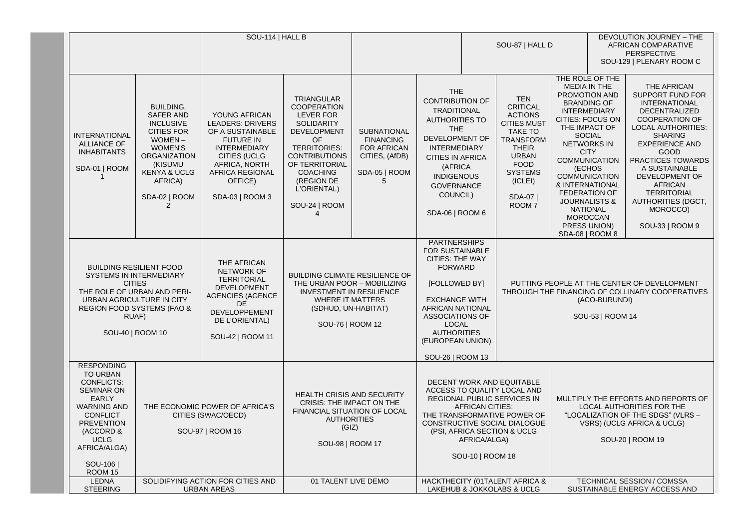|  |                                                                                                                                                                                                                                                                                                            | SOU-114   HALL B                                                                                                                                                                                                    |                                                                                                                                                                                           |                                                                                                                                                                                                                                         |                                                                                                      |                                                                                                                                                                                                                                                                       | SOU-87   HALL D                                                                                                                                                                                                                                     |                                                                                                                                                                                                                          | DEVOLUTION JOURNEY - THE<br>AFRICAN COMPARATIVE<br><b>PERSPECTIVE</b><br>SOU-129   PLENARY ROOM C                                                                                                                                                                                                                                                                                                         |  |                                                                                                                                                                                                                                                                                                                                                      |
|--|------------------------------------------------------------------------------------------------------------------------------------------------------------------------------------------------------------------------------------------------------------------------------------------------------------|---------------------------------------------------------------------------------------------------------------------------------------------------------------------------------------------------------------------|-------------------------------------------------------------------------------------------------------------------------------------------------------------------------------------------|-----------------------------------------------------------------------------------------------------------------------------------------------------------------------------------------------------------------------------------------|------------------------------------------------------------------------------------------------------|-----------------------------------------------------------------------------------------------------------------------------------------------------------------------------------------------------------------------------------------------------------------------|-----------------------------------------------------------------------------------------------------------------------------------------------------------------------------------------------------------------------------------------------------|--------------------------------------------------------------------------------------------------------------------------------------------------------------------------------------------------------------------------|-----------------------------------------------------------------------------------------------------------------------------------------------------------------------------------------------------------------------------------------------------------------------------------------------------------------------------------------------------------------------------------------------------------|--|------------------------------------------------------------------------------------------------------------------------------------------------------------------------------------------------------------------------------------------------------------------------------------------------------------------------------------------------------|
|  | <b>INTERNATIONAL</b><br><b>ALLIANCE OF</b><br><b>INHABITANTS</b><br>SDA-01   ROOM                                                                                                                                                                                                                          | <b>BUILDING,</b><br><b>SAFER AND</b><br><b>INCLUSIVE</b><br><b>CITIES FOR</b><br>WOMEN-<br><b>WOMEN'S</b><br><b>ORGANIZATION</b><br>(KISUMU<br><b>KENYA &amp; UCLG</b><br>AFRICA)<br>SDA-02   ROOM<br>$\mathcal{P}$ | YOUNG AFRICAN<br><b>LEADERS: DRIVERS</b><br>OF A SUSTAINABLE<br><b>FUTURE IN</b><br><b>INTERMEDIARY</b><br>CITIES (UCLG<br>AFRICA, NORTH<br>AFRICA REGIONAL<br>OFFICE)<br>SDA-03   ROOM 3 | <b>TRIANGULAR</b><br><b>COOPERATION</b><br>LEVER FOR<br><b>SOLIDARITY</b><br><b>DEVELOPMENT</b><br>OF<br><b>TERRITORIES:</b><br><b>CONTRIBUTIONS</b><br>OF TERRITORIAL<br><b>COACHING</b><br>(REGION DE<br>L'ORIENTAL)<br>SOU-24   ROOM | <b>SUBNATIONAL</b><br><b>FINANCING</b><br><b>FOR AFRICAN</b><br>CITIES, (AfDB)<br>SDA-05   ROOM<br>5 | <b>THE</b><br><b>CONTRIBUTION OF</b><br><b>TRADITIONAL</b><br><b>AUTHORITIES TO</b><br><b>THE</b><br>DEVELOPMENT OF<br><b>INTERMEDIARY</b><br><b>CITIES IN AFRICA</b><br>(AFRICA<br><b>INDIGENOUS</b><br><b>GOVERNANCE</b><br>COUNCIL)<br>SDA-06   ROOM 6             |                                                                                                                                                                                                                                                     | <b>TEN</b><br><b>CRITICAL</b><br><b>ACTIONS</b><br><b>CITIES MUST</b><br><b>TAKE TO</b><br><b>TRANSFORM</b><br><b>THEIR</b><br><b>URBAN</b><br><b>FOOD</b><br><b>SYSTEMS</b><br>(ICLEI)<br>SDA-07  <br>ROOM <sub>7</sub> | THE ROLE OF THE<br><b>MEDIA IN THE</b><br>PROMOTION AND<br><b>BRANDING OF</b><br><b>INTERMEDIARY</b><br>CITIES: FOCUS ON<br>THE IMPACT OF<br><b>SOCIAL</b><br><b>NETWORKS IN</b><br><b>CITY</b><br><b>COMMUNICATION</b><br>(ECHOS<br><b>COMMUNICATION</b><br>& INTERNATIONAL<br><b>FEDERATION OF</b><br><b>JOURNALISTS &amp;</b><br><b>NATIONAL</b><br><b>MOROCCAN</b><br>PRESS UNION)<br>SDA-08   ROOM 8 |  | THE AFRICAN<br><b>SUPPORT FUND FOR</b><br><b>INTERNATIONAL</b><br><b>DECENTRALIZED</b><br><b>COOPERATION OF</b><br><b>LOCAL AUTHORITIES:</b><br><b>SHARING</b><br><b>EXPERIENCE AND</b><br>GOOD<br>PRACTICES TOWARDS<br>A SUSTAINABLE<br>DEVELOPMENT OF<br><b>AFRICAN</b><br><b>TERRITORIAL</b><br>AUTHORITIES (DGCT,<br>MOROCCO)<br>SOU-33   ROOM 9 |
|  | <b>BUILDING RESILIENT FOOD</b><br>SYSTEMS IN INTERMEDIARY<br><b>CITIES</b><br>THE ROLE OF URBAN AND PERI-<br>URBAN AGRICULTURE IN CITY<br><b>REGION FOOD SYSTEMS (FAO &amp;</b><br>RUAF)<br>SOU-40   ROOM 10                                                                                               |                                                                                                                                                                                                                     | THE AFRICAN<br>NETWORK OF<br><b>TERRITORIAL</b><br><b>DEVELOPMENT</b><br><b>AGENCIES (AGENCE</b><br>DE.<br><b>DEVELOPPEMENT</b><br>DE L'ORIENTAL)<br>SOU-42   ROOM 11                     | BUILDING CLIMATE RESILIENCE OF<br>THE URBAN POOR - MOBILIZING<br><b>INVESTMENT IN RESILIENCE</b><br><b>WHERE IT MATTERS</b><br>(SDHUD, UN-HABITAT)<br>SOU-76   ROOM 12                                                                  |                                                                                                      | <b>PARTNERSHIPS</b><br><b>FOR SUSTAINABLE</b><br><b>CITIES: THE WAY</b><br><b>FORWARD</b><br>[FOLLOWED BY]<br><b>EXCHANGE WITH</b><br><b>AFRICAN NATIONAL</b><br><b>ASSOCIATIONS OF</b><br><b>LOCAL</b><br><b>AUTHORITIES</b><br>(EUROPEAN UNION)<br>SOU-26   ROOM 13 |                                                                                                                                                                                                                                                     |                                                                                                                                                                                                                          | PUTTING PEOPLE AT THE CENTER OF DEVELOPMENT<br>THROUGH THE FINANCING OF COLLINARY COOPERATIVES<br>(ACO-BURUNDI)<br>SOU-53   ROOM 14                                                                                                                                                                                                                                                                       |  |                                                                                                                                                                                                                                                                                                                                                      |
|  | <b>RESPONDING</b><br><b>TO URBAN</b><br><b>CONFLICTS:</b><br><b>SEMINAR ON</b><br><b>EARLY</b><br>THE ECONOMIC POWER OF AFRICA'S<br><b>WARNING AND</b><br><b>CONFLICT</b><br>CITIES (SWAC/OECD)<br><b>PREVENTION</b><br>(ACCORD &<br>SOU-97   ROOM 16<br><b>UCLG</b><br>AFRICA/ALGA)<br>SOU-106<br>ROOM 15 |                                                                                                                                                                                                                     |                                                                                                                                                                                           | <b>HEALTH CRISIS AND SECURITY</b><br>CRISIS: THE IMPACT ON THE<br>FINANCIAL SITUATION OF LOCAL<br><b>AUTHORITIES</b><br>(GIZ)<br>SOU-98   ROOM 17                                                                                       |                                                                                                      |                                                                                                                                                                                                                                                                       | DECENT WORK AND EQUITABLE<br>ACCESS TO QUALITY LOCAL AND<br>REGIONAL PUBLIC SERVICES IN<br><b>AFRICAN CITIES:</b><br>THE TRANSFORMATIVE POWER OF<br>CONSTRUCTIVE SOCIAL DIALOGUE<br>(PSI, AFRICA SECTION & UCLG<br>AFRICA/ALGA)<br>SOU-10   ROOM 18 |                                                                                                                                                                                                                          | MULTIPLY THE EFFORTS AND REPORTS OF<br>LOCAL AUTHORITIES FOR THE<br>"LOCALIZATION OF THE SDGS" (VLRS –<br>VSRS) (UCLG AFRICA & UCLG)<br>SOU-20   ROOM 19                                                                                                                                                                                                                                                  |  |                                                                                                                                                                                                                                                                                                                                                      |
|  | <b>LEDNA</b><br><b>STEERING</b>                                                                                                                                                                                                                                                                            | SOLIDIFYING ACTION FOR CITIES AND<br>01 TALENT LIVE DEMO<br><b>URBAN AREAS</b>                                                                                                                                      |                                                                                                                                                                                           |                                                                                                                                                                                                                                         | <b>HACKTHECITY (01TALENT AFRICA &amp;</b><br>LAKEHUB & JOKKOLABS & UCLG                              |                                                                                                                                                                                                                                                                       | TECHNICAL SESSION / COMSSA<br>SUSTAINABLE ENERGY ACCESS AND                                                                                                                                                                                         |                                                                                                                                                                                                                          |                                                                                                                                                                                                                                                                                                                                                                                                           |  |                                                                                                                                                                                                                                                                                                                                                      |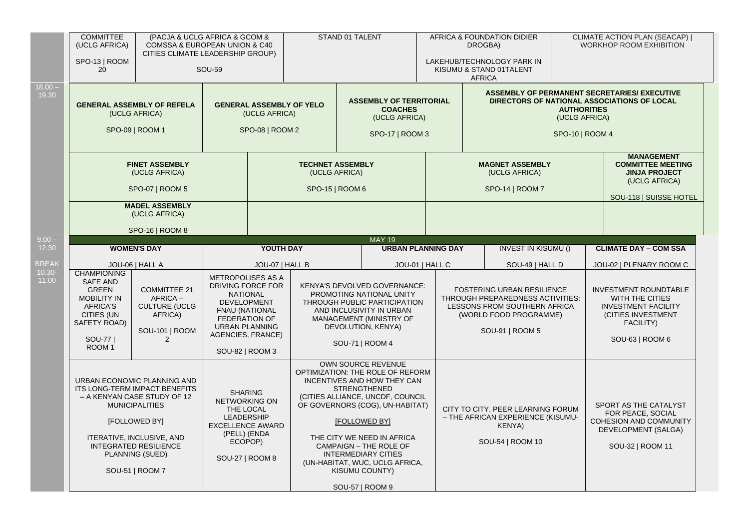|                    | <b>COMMITTEE</b><br>(UCLG AFRICA)<br>SPO-13   ROOM<br>20                                                                                                                                                                                 |                                                                                          | (PACJA & UCLG AFRICA & GCOM &<br>COMSSA & EUROPEAN UNION & C40<br>CITIES CLIMATE LEADERSHIP GROUP)<br><b>SOU-59</b>                                                                        |                                                                     | STAND 01 TALENT |                                                                                                                                                                                                                                                                                                                                                                                        | AFRICA & FOUNDATION DIDIER<br>DROGBA)<br>LAKEHUB/TECHNOLOGY PARK IN<br>KISUMU & STAND 01TALENT<br><b>AFRICA</b>                             |                                                                                                             |                                                                                                                  | <b>CLIMATE ACTION PLAN (SEACAP)  </b><br><b>WORKHOP ROOM EXHIBITION</b>                                                                    |  |
|--------------------|------------------------------------------------------------------------------------------------------------------------------------------------------------------------------------------------------------------------------------------|------------------------------------------------------------------------------------------|--------------------------------------------------------------------------------------------------------------------------------------------------------------------------------------------|---------------------------------------------------------------------|-----------------|----------------------------------------------------------------------------------------------------------------------------------------------------------------------------------------------------------------------------------------------------------------------------------------------------------------------------------------------------------------------------------------|---------------------------------------------------------------------------------------------------------------------------------------------|-------------------------------------------------------------------------------------------------------------|------------------------------------------------------------------------------------------------------------------|--------------------------------------------------------------------------------------------------------------------------------------------|--|
| $18.00 -$<br>19.30 |                                                                                                                                                                                                                                          | <b>GENERAL ASSEMBLY OF REFELA</b><br>(UCLG AFRICA)<br>SPO-09   ROOM 1                    |                                                                                                                                                                                            | <b>GENERAL ASSEMBLY OF YELO</b><br>(UCLG AFRICA)<br>SPO-08   ROOM 2 |                 | <b>ASSEMBLY OF TERRITORIAL</b><br><b>COACHES</b><br>(UCLG AFRICA)<br>SPO-17   ROOM 3                                                                                                                                                                                                                                                                                                   |                                                                                                                                             |                                                                                                             | <b>AUTHORITIES</b><br>(UCLG AFRICA)<br>SPO-10   ROOM 4                                                           | ASSEMBLY OF PERMANENT SECRETARIES/ EXECUTIVE<br>DIRECTORS OF NATIONAL ASSOCIATIONS OF LOCAL                                                |  |
|                    | <b>FINET ASSEMBLY</b><br>(UCLG AFRICA)<br>SPO-07   ROOM 5                                                                                                                                                                                |                                                                                          | <b>TECHNET ASSEMBLY</b><br>(UCLG AFRICA)<br>SPO-15   ROOM 6                                                                                                                                |                                                                     |                 | <b>MAGNET ASSEMBLY</b><br>(UCLG AFRICA)<br>SPO-14   ROOM 7                                                                                                                                                                                                                                                                                                                             |                                                                                                                                             |                                                                                                             | <b>MANAGEMENT</b><br><b>COMMITTEE MEETING</b><br><b>JINJA PROJECT</b><br>(UCLG AFRICA)<br>SOU-118   SUISSE HOTEL |                                                                                                                                            |  |
| $9.00 -$           |                                                                                                                                                                                                                                          | <b>MADEL ASSEMBLY</b><br>(UCLG AFRICA)<br>SPO-16   ROOM 8                                |                                                                                                                                                                                            |                                                                     |                 |                                                                                                                                                                                                                                                                                                                                                                                        |                                                                                                                                             |                                                                                                             |                                                                                                                  |                                                                                                                                            |  |
| 12.30              |                                                                                                                                                                                                                                          | <b>WOMEN'S DAY</b>                                                                       |                                                                                                                                                                                            | YOUTH DAY                                                           |                 | <b>MAY 19</b><br><b>URBAN PLANNING DAY</b>                                                                                                                                                                                                                                                                                                                                             |                                                                                                                                             | <b>INVEST IN KISUMU ()</b>                                                                                  |                                                                                                                  | <b>CLIMATE DAY - COM SSA</b>                                                                                                               |  |
| <b>BREAK</b>       |                                                                                                                                                                                                                                          | JOU-06   HALL A                                                                          | JOU-07   HALL B                                                                                                                                                                            |                                                                     |                 | JOU-01   HALL C                                                                                                                                                                                                                                                                                                                                                                        |                                                                                                                                             | SOU-49   HALL D                                                                                             |                                                                                                                  | JOU-02   PLENARY ROOM C                                                                                                                    |  |
| $10.30 -$<br>11.00 | <b>CHAMPIONING</b><br><b>SAFE AND</b><br><b>GREEN</b><br><b>MOBILITY IN</b><br><b>AFRICA'S</b><br>CITIES (UN<br>SAFETY ROAD)<br>SOU-77  <br>ROOM <sub>1</sub>                                                                            | <b>COMMITTEE 21</b><br>AFRICA-<br><b>CULTURE (UCLG</b><br>AFRICA)<br>SOU-101   ROOM<br>2 | METROPOLISES AS A<br>DRIVING FORCE FOR<br><b>NATIONAL</b><br><b>DEVELOPMENT</b><br>FNAU (NATIONAL<br><b>FEDERATION OF</b><br><b>URBAN PLANNING</b><br>AGENCIES, FRANCE)<br>SOU-82   ROOM 3 |                                                                     |                 | KENYA'S DEVOLVED GOVERNANCE:<br>PROMOTING NATIONAL UNITY<br>THROUGH PUBLIC PARTICIPATION<br>AND INCLUSIVITY IN URBAN<br>MANAGEMENT (MINISTRY OF<br>DEVOLUTION, KENYA)<br>SOU-71   ROOM 4                                                                                                                                                                                               | FOSTERING URBAN RESILIENCE<br>THROUGH PREPAREDNESS ACTIVITIES:<br>LESSONS FROM SOUTHERN AFRICA<br>(WORLD FOOD PROGRAMME)<br>SOU-91   ROOM 5 |                                                                                                             |                                                                                                                  | <b>INVESTMENT ROUNDTABLE</b><br><b>WITH THE CITIES</b><br><b>INVESTMENT FACILITY</b><br>(CITIES INVESTMENT<br>FACILITY)<br>SOU-63   ROOM 6 |  |
|                    | URBAN ECONOMIC PLANNING AND<br>ITS LONG-TERM IMPACT BENEFITS<br>- A KENYAN CASE STUDY OF 12<br><b>MUNICIPALITIES</b><br>[FOLLOWED BY]<br>ITERATIVE, INCLUSIVE, AND<br><b>INTEGRATED RESILIENCE</b><br>PLANNING (SUED)<br>SOU-51   ROOM 7 |                                                                                          | <b>SHARING</b><br><b>NETWORKING ON</b><br>THE LOCAL<br><b>LEADERSHIP</b><br><b>EXCELLENCE AWARD</b><br>(PELL) (ENDA<br>ECOPOP)<br>SOU-27   ROOM 8                                          |                                                                     |                 | <b>OWN SOURCE REVENUE</b><br>OPTIMIZATION: THE ROLE OF REFORM<br>INCENTIVES AND HOW THEY CAN<br><b>STRENGTHENED</b><br>(CITIES ALLIANCE, UNCDF, COUNCIL<br>OF GOVERNORS (COG), UN-HABITAT)<br><b>[FOLLOWED BY]</b><br>THE CITY WE NEED IN AFRICA<br><b>CAMPAIGN - THE ROLE OF</b><br><b>INTERMEDIARY CITIES</b><br>(UN-HABITAT, WUC, UCLG AFRICA,<br>KISUMU COUNTY)<br>SOU-57   ROOM 9 |                                                                                                                                             | CITY TO CITY, PEER LEARNING FORUM<br>- THE AFRICAN EXPERIENCE (KISUMU-<br><b>KENYA)</b><br>SOU-54   ROOM 10 |                                                                                                                  | SPORT AS THE CATALYST<br>FOR PEACE, SOCIAL<br><b>COHESION AND COMMUNITY</b><br>DEVELOPMENT (SALGA)<br>SOU-32   ROOM 11                     |  |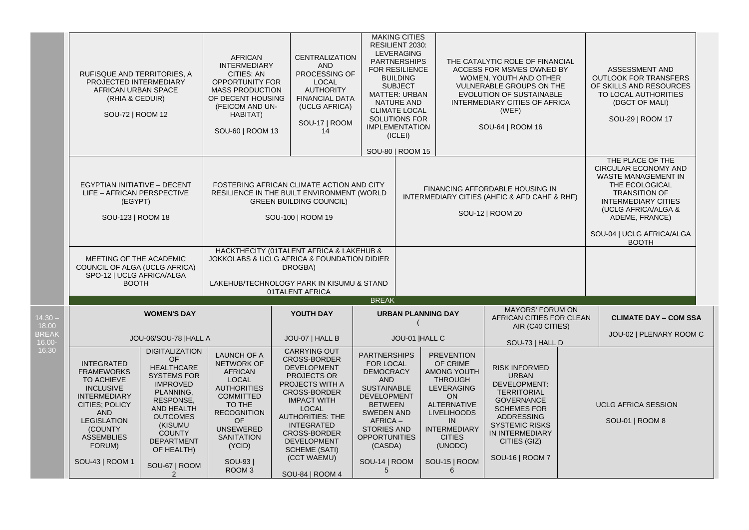|                        | RUFISQUE AND TERRITORIES, A<br>PROJECTED INTERMEDIARY<br>AFRICAN URBAN SPACE<br>(RHIA & CEDUIR)<br>SOU-72   ROOM 12                                                                                                |                                                                                                                                                                                                                                           | <b>AFRICAN</b><br><b>INTERMEDIARY</b><br>CITIES: AN<br><b>OPPORTUNITY FOR</b><br><b>MASS PRODUCTION</b><br>OF DECENT HOUSING<br>(FEICOM AND UN-<br>HABITAT)<br>SOU-60   ROOM 13                                                               | <b>CENTRALIZATION</b><br><b>AND</b><br>PROCESSING OF<br><b>LOCAL</b><br><b>AUTHORITY</b><br><b>FINANCIAL DATA</b><br>(UCLG AFRICA)<br>SOU-17   ROOM<br>14                                                                                                                                                       | <b>MAKING CITIES</b>                                                                                                                                                                                                                            | RESILIENT 2030:<br>LEVERAGING<br><b>PARTNERSHIPS</b><br>THE CATALYTIC ROLE OF FINANCIAL<br><b>FOR RESILIENCE</b><br>ACCESS FOR MSMES OWNED BY<br><b>BUILDING</b><br>WOMEN, YOUTH AND OTHER<br><b>SUBJECT</b><br><b>VULNERABLE GROUPS ON THE</b><br>EVOLUTION OF SUSTAINABLE<br><b>MATTER: URBAN</b><br><b>NATURE AND</b><br>INTERMEDIARY CITIES OF AFRICA<br><b>CLIMATE LOCAL</b><br>(WEF)<br>SOLUTIONS FOR<br><b>IMPLEMENTATION</b><br>SOU-64   ROOM 16<br>(ICLEI)<br>SOU-80   ROOM 15 |                                                                                                                                                                                                                             |                                                                                                                                                                                                                    |                                                                                                                                                                                                                                             | ASSESSMENT AND<br><b>OUTLOOK FOR TRANSFERS</b><br>OF SKILLS AND RESOURCES<br>TO LOCAL AUTHORITIES<br>(DGCT OF MALI)<br>SOU-29   ROOM 17 |
|------------------------|--------------------------------------------------------------------------------------------------------------------------------------------------------------------------------------------------------------------|-------------------------------------------------------------------------------------------------------------------------------------------------------------------------------------------------------------------------------------------|-----------------------------------------------------------------------------------------------------------------------------------------------------------------------------------------------------------------------------------------------|-----------------------------------------------------------------------------------------------------------------------------------------------------------------------------------------------------------------------------------------------------------------------------------------------------------------|-------------------------------------------------------------------------------------------------------------------------------------------------------------------------------------------------------------------------------------------------|-----------------------------------------------------------------------------------------------------------------------------------------------------------------------------------------------------------------------------------------------------------------------------------------------------------------------------------------------------------------------------------------------------------------------------------------------------------------------------------------|-----------------------------------------------------------------------------------------------------------------------------------------------------------------------------------------------------------------------------|--------------------------------------------------------------------------------------------------------------------------------------------------------------------------------------------------------------------|---------------------------------------------------------------------------------------------------------------------------------------------------------------------------------------------------------------------------------------------|-----------------------------------------------------------------------------------------------------------------------------------------|
|                        | EGYPTIAN INITIATIVE - DECENT<br>LIFE - AFRICAN PERSPECTIVE<br>(EGYPT)<br>SOU-123   ROOM 18                                                                                                                         |                                                                                                                                                                                                                                           |                                                                                                                                                                                                                                               | FOSTERING AFRICAN CLIMATE ACTION AND CITY<br>RESILIENCE IN THE BUILT ENVIRONMENT (WORLD<br><b>GREEN BUILDING COUNCIL)</b><br>SOU-100   ROOM 19                                                                                                                                                                  | FINANCING AFFORDABLE HOUSING IN<br>INTERMEDIARY CITIES (AHFIC & AFD CAHF & RHF)<br>SOU-12   ROOM 20                                                                                                                                             |                                                                                                                                                                                                                                                                                                                                                                                                                                                                                         |                                                                                                                                                                                                                             |                                                                                                                                                                                                                    | THE PLACE OF THE<br><b>CIRCULAR ECONOMY AND</b><br><b>WASTE MANAGEMENT IN</b><br>THE ECOLOGICAL<br><b>TRANSITION OF</b><br><b>INTERMEDIARY CITIES</b><br>(UCLG AFRICA/ALGA &<br>ADEME, FRANCE)<br>SOU-04   UCLG AFRICA/ALGA<br><b>BOOTH</b> |                                                                                                                                         |
|                        | MEETING OF THE ACADEMIC<br>COUNCIL OF ALGA (UCLG AFRICA)<br>SPO-12   UCLG AFRICA/ALGA<br><b>BOOTH</b>                                                                                                              |                                                                                                                                                                                                                                           |                                                                                                                                                                                                                                               | HACKTHECITY (01TALENT AFRICA & LAKEHUB &<br>JOKKOLABS & UCLG AFRICA & FOUNDATION DIDIER<br>DROGBA)<br>LAKEHUB/TECHNOLOGY PARK IN KISUMU & STAND<br>01TALENT AFRICA                                                                                                                                              |                                                                                                                                                                                                                                                 |                                                                                                                                                                                                                                                                                                                                                                                                                                                                                         |                                                                                                                                                                                                                             |                                                                                                                                                                                                                    |                                                                                                                                                                                                                                             |                                                                                                                                         |
| $14.30 -$<br>18.00     |                                                                                                                                                                                                                    | <b>WOMEN'S DAY</b>                                                                                                                                                                                                                        |                                                                                                                                                                                                                                               |                                                                                                                                                                                                                                                                                                                 | <b>BREAK</b><br><b>URBAN PLANNING DAY</b><br>YOUTH DAY                                                                                                                                                                                          |                                                                                                                                                                                                                                                                                                                                                                                                                                                                                         |                                                                                                                                                                                                                             | <b>MAYORS' FORUM ON</b><br>AFRICAN CITIES FOR CLEAN<br>AIR (C40 CITIES)                                                                                                                                            |                                                                                                                                                                                                                                             | <b>CLIMATE DAY - COM SSA</b>                                                                                                            |
| <b>BREAK</b><br>16.00- |                                                                                                                                                                                                                    | JOU-06/SOU-78  HALL A                                                                                                                                                                                                                     |                                                                                                                                                                                                                                               | JOU-07   HALL B                                                                                                                                                                                                                                                                                                 |                                                                                                                                                                                                                                                 | JOU-01  HALL C<br>SOU-73   HALL D                                                                                                                                                                                                                                                                                                                                                                                                                                                       |                                                                                                                                                                                                                             |                                                                                                                                                                                                                    |                                                                                                                                                                                                                                             | JOU-02   PLENARY ROOM C                                                                                                                 |
| 16.30                  | <b>INTEGRATED</b><br><b>FRAMEWORKS</b><br>TO ACHIEVE<br><b>INCLUSIVE</b><br><b>INTERMEDIARY</b><br>CITIES; POLICY<br><b>AND</b><br><b>LEGISLATION</b><br>(COUNTY<br><b>ASSEMBLIES</b><br>FORUM)<br>SOU-43   ROOM 1 | <b>DIGITALIZATION</b><br>OF<br><b>HEALTHCARE</b><br><b>SYSTEMS FOR</b><br><b>IMPROVED</b><br>PLANNING.<br>RESPONSE,<br>AND HEALTH<br><b>OUTCOMES</b><br>(KISUMU<br><b>COUNTY</b><br><b>DEPARTMENT</b><br>OF HEALTH)<br>SOU-67   ROOM<br>2 | <b>LAUNCH OF A</b><br>NETWORK OF<br><b>AFRICAN</b><br><b>LOCAL</b><br><b>AUTHORITIES</b><br><b>COMMITTED</b><br>TO THE<br><b>RECOGNITION</b><br><b>OF</b><br><b>UNSEWERED</b><br><b>SANITATION</b><br>(YCID)<br>SOU-93  <br>ROOM <sub>3</sub> | <b>CARRYING OUT</b><br><b>CROSS-BORDER</b><br>DEVELOPMENT<br>PROJECTS OR<br>PROJECTS WITH A<br><b>CROSS-BORDER</b><br><b>IMPACT WITH</b><br><b>LOCAL</b><br><b>AUTHORITIES: THE</b><br><b>INTEGRATED</b><br><b>CROSS-BORDER</b><br><b>DEVELOPMENT</b><br><b>SCHEME (SATI)</b><br>(CCT WAEMU)<br>SOU-84   ROOM 4 | <b>PARTNERSHIPS</b><br>FOR LOCAL<br><b>DEMOCRACY</b><br><b>AND</b><br><b>SUSTAINABLE</b><br><b>DEVELOPMENT</b><br><b>BETWEEN</b><br><b>SWEDEN AND</b><br>AFRICA-<br><b>STORIES AND</b><br><b>OPPORTUNITIES</b><br>(CASDA)<br>SOU-14   ROOM<br>5 |                                                                                                                                                                                                                                                                                                                                                                                                                                                                                         | <b>PREVENTION</b><br>OF CRIME<br><b>AMONG YOUTH</b><br><b>THROUGH</b><br><b>LEVERAGING</b><br>ON<br><b>ALTERNATIVE</b><br><b>LIVELIHOODS</b><br>IN<br><b>INTERMEDIARY</b><br><b>CITIES</b><br>(UNODC)<br>SOU-15   ROOM<br>6 | <b>RISK INFORMED</b><br><b>URBAN</b><br>DEVELOPMENT:<br><b>TERRITORIAL</b><br><b>GOVERNANCE</b><br><b>SCHEMES FOR</b><br>ADDRESSING<br><b>SYSTEMIC RISKS</b><br>IN INTERMEDIARY<br>CITIES (GIZ)<br>SOU-16   ROOM 7 |                                                                                                                                                                                                                                             | <b>UCLG AFRICA SESSION</b><br>SOU-01   ROOM 8                                                                                           |
|                        |                                                                                                                                                                                                                    |                                                                                                                                                                                                                                           |                                                                                                                                                                                                                                               |                                                                                                                                                                                                                                                                                                                 |                                                                                                                                                                                                                                                 |                                                                                                                                                                                                                                                                                                                                                                                                                                                                                         |                                                                                                                                                                                                                             |                                                                                                                                                                                                                    |                                                                                                                                                                                                                                             |                                                                                                                                         |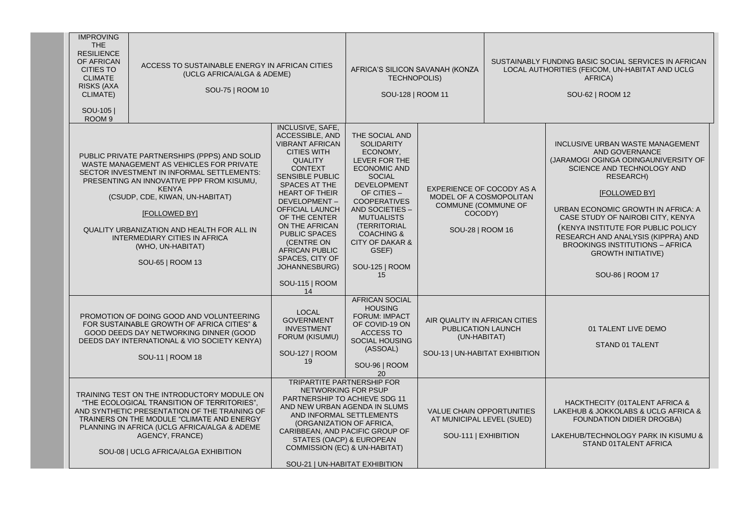| <b>IMPROVING</b><br><b>THE</b><br><b>RESILIENCE</b><br>OF AFRICAN<br>ACCESS TO SUSTAINABLE ENERGY IN AFRICAN CITIES<br><b>CITIES TO</b><br>(UCLG AFRICA/ALGA & ADEME)<br><b>CLIMATE</b><br><b>RISKS (AXA</b><br>SOU-75   ROOM 10<br>CLIMATE)<br>SOU-105<br>ROOM <sub>9</sub>                         |                                                                                                                                                                                                      |                                                                                                                                                                                                                                                                                                                                                                                 | AFRICA'S SILICON SAVANAH (KONZA<br><b>TECHNOPOLIS)</b><br>SOU-128   ROOM 11                                                                                                                                                                                                                                                                                                                                       |                                                                                                                                                                                                                                                                                                                      |                                                                                                            |                                                                                                                                                                    | SUSTAINABLY FUNDING BASIC SOCIAL SERVICES IN AFRICAN<br>LOCAL AUTHORITIES (FEICOM, UN-HABITAT AND UCLG<br>AFRICA)<br>SOU-62   ROOM 12                                                                                                                                                                                                                                                                           |  |  |
|------------------------------------------------------------------------------------------------------------------------------------------------------------------------------------------------------------------------------------------------------------------------------------------------------|------------------------------------------------------------------------------------------------------------------------------------------------------------------------------------------------------|---------------------------------------------------------------------------------------------------------------------------------------------------------------------------------------------------------------------------------------------------------------------------------------------------------------------------------------------------------------------------------|-------------------------------------------------------------------------------------------------------------------------------------------------------------------------------------------------------------------------------------------------------------------------------------------------------------------------------------------------------------------------------------------------------------------|----------------------------------------------------------------------------------------------------------------------------------------------------------------------------------------------------------------------------------------------------------------------------------------------------------------------|------------------------------------------------------------------------------------------------------------|--------------------------------------------------------------------------------------------------------------------------------------------------------------------|-----------------------------------------------------------------------------------------------------------------------------------------------------------------------------------------------------------------------------------------------------------------------------------------------------------------------------------------------------------------------------------------------------------------|--|--|
|                                                                                                                                                                                                                                                                                                      |                                                                                                                                                                                                      | PUBLIC PRIVATE PARTNERSHIPS (PPPS) AND SOLID<br>WASTE MANAGEMENT AS VEHICLES FOR PRIVATE<br>SECTOR INVESTMENT IN INFORMAL SETTLEMENTS:<br>PRESENTING AN INNOVATIVE PPP FROM KISUMU,<br><b>KENYA</b><br>(CSUDP, CDE, KIWAN, UN-HABITAT)<br>[FOLLOWED BY]<br>QUALITY URBANIZATION AND HEALTH FOR ALL IN<br>INTERMEDIARY CITIES IN AFRICA<br>(WHO, UN-HABITAT)<br>SOU-65   ROOM 13 | INCLUSIVE, SAFE,<br><b>ACCESSIBLE, AND</b><br><b>VIBRANT AFRICAN</b><br><b>CITIES WITH</b><br><b>QUALITY</b><br><b>CONTEXT</b><br><b>SENSIBLE PUBLIC</b><br><b>SPACES AT THE</b><br><b>HEART OF THEIR</b><br>DEVELOPMENT-<br><b>OFFICIAL LAUNCH</b><br>OF THE CENTER<br>ON THE AFRICAN<br><b>PUBLIC SPACES</b><br>(CENTRE ON<br><b>AFRICAN PUBLIC</b><br>SPACES, CITY OF<br>JOHANNESBURG)<br>SOU-115   ROOM<br>14 | THE SOCIAL AND<br><b>SOLIDARITY</b><br>ECONOMY.<br>LEVER FOR THE<br><b>ECONOMIC AND</b><br><b>SOCIAL</b><br><b>DEVELOPMENT</b><br>OF CITIES -<br><b>COOPERATIVES</b><br>AND SOCIETIES -<br><b>MUTUALISTS</b><br>(TERRITORIAL<br><b>COACHING &amp;</b><br><b>CITY OF DAKAR &amp;</b><br>GSEF)<br>SOU-125   ROOM<br>15 | EXPERIENCE OF COCODY AS A<br>MODEL OF A COSMOPOLITAN<br>COMMUNE (COMMUNE OF<br>COCODY)<br>SOU-28   ROOM 16 |                                                                                                                                                                    | INCLUSIVE URBAN WASTE MANAGEMENT<br>AND GOVERNANCE<br>(JARAMOGI OGINGA ODINGAUNIVERSITY OF<br>SCIENCE AND TECHNOLOGY AND<br><b>RESEARCH)</b><br>[FOLLOWED BY]<br>URBAN ECONOMIC GROWTH IN AFRICA: A<br>CASE STUDY OF NAIROBI CITY, KENYA<br>(KENYA INSTITUTE FOR PUBLIC POLICY<br>RESEARCH AND ANALYSIS (KIPPRA) AND<br><b>BROOKINGS INSTITUTIONS - AFRICA</b><br><b>GROWTH INITIATIVE)</b><br>SOU-86   ROOM 17 |  |  |
|                                                                                                                                                                                                                                                                                                      | PROMOTION OF DOING GOOD AND VOLUNTEERING<br>FOR SUSTAINABLE GROWTH OF AFRICA CITIES" &<br>GOOD DEEDS DAY NETWORKING DINNER (GOOD<br>DEEDS DAY INTERNATIONAL & VIO SOCIETY KENYA)<br>SOU-11   ROOM 18 |                                                                                                                                                                                                                                                                                                                                                                                 | <b>LOCAL</b><br><b>GOVERNMENT</b><br><b>INVESTMENT</b><br>FORUM (KISUMU)<br>SOU-127   ROOM<br>19                                                                                                                                                                                                                                                                                                                  | AFRICAN SOCIAL<br><b>HOUSING</b><br><b>FORUM: IMPACT</b><br>OF COVID-19 ON<br><b>ACCESS TO</b><br>SOCIAL HOUSING<br>(ASSOAL)<br>SOU-96   ROOM<br>20                                                                                                                                                                  | AIR QUALITY IN AFRICAN CITIES<br>PUBLICATION LAUNCH<br>(UN-HABITAT)<br>SOU-13   UN-HABITAT EXHIBITION      |                                                                                                                                                                    | 01 TALENT LIVE DEMO<br>STAND 01 TALENT                                                                                                                                                                                                                                                                                                                                                                          |  |  |
| TRAINING TEST ON THE INTRODUCTORY MODULE ON<br>"THE ECOLOGICAL TRANSITION OF TERRITORIES",<br>AND SYNTHETIC PRESENTATION OF THE TRAINING OF<br>TRAINERS ON THE MODULE "CLIMATE AND ENERGY<br>PLANNING IN AFRICA (UCLG AFRICA/ALGA & ADEME<br>AGENCY, FRANCE)<br>SOU-08   UCLG AFRICA/ALGA EXHIBITION |                                                                                                                                                                                                      | <b>TRIPARTITE PARTNERSHIP FOR</b><br>NETWORKING FOR PSUP<br>PARTNERSHIP TO ACHIEVE SDG 11<br>AND NEW URBAN AGENDA IN SLUMS<br>AND INFORMAL SETTLEMENTS<br>(ORGANIZATION OF AFRICA,<br>CARIBBEAN, AND PACIFIC GROUP OF<br>STATES (OACP) & EUROPEAN<br>COMMISSION (EC) & UN-HABITAT)<br>SOU-21   UN-HABITAT EXHIBITION                                                            |                                                                                                                                                                                                                                                                                                                                                                                                                   | VALUE CHAIN OPPORTUNITIES<br>AT MUNICIPAL LEVEL (SUED)<br>SOU-111   EXHIBITION                                                                                                                                                                                                                                       |                                                                                                            | HACKTHECITY (01TALENT AFRICA &<br>LAKEHUB & JOKKOLABS & UCLG AFRICA &<br>FOUNDATION DIDIER DROGBA)<br>LAKEHUB/TECHNOLOGY PARK IN KISUMU &<br>STAND 01TALENT AFRICA |                                                                                                                                                                                                                                                                                                                                                                                                                 |  |  |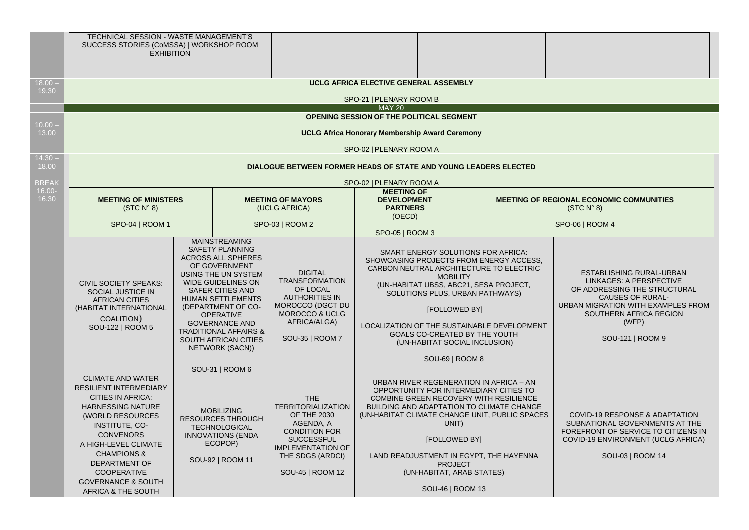|                    | TECHNICAL SESSION - WASTE MANAGEMENT'S<br>SUCCESS STORIES (CoMSSA)   WORKSHOP ROOM<br><b>EXHIBITION</b>                                                                                                                                                                                                                                                                                                                                                                                             |                                                                                                                                                     |                                                                                                                                                                                      |                                                                                  |                                                                                                                                                                                                                                                                                                                                                                                      |                                                                                                                                                                                                             |  |
|--------------------|-----------------------------------------------------------------------------------------------------------------------------------------------------------------------------------------------------------------------------------------------------------------------------------------------------------------------------------------------------------------------------------------------------------------------------------------------------------------------------------------------------|-----------------------------------------------------------------------------------------------------------------------------------------------------|--------------------------------------------------------------------------------------------------------------------------------------------------------------------------------------|----------------------------------------------------------------------------------|--------------------------------------------------------------------------------------------------------------------------------------------------------------------------------------------------------------------------------------------------------------------------------------------------------------------------------------------------------------------------------------|-------------------------------------------------------------------------------------------------------------------------------------------------------------------------------------------------------------|--|
| $18.00 -$          |                                                                                                                                                                                                                                                                                                                                                                                                                                                                                                     |                                                                                                                                                     |                                                                                                                                                                                      | UCLG AFRICA ELECTIVE GENERAL ASSEMBLY                                            |                                                                                                                                                                                                                                                                                                                                                                                      |                                                                                                                                                                                                             |  |
| 19.30              |                                                                                                                                                                                                                                                                                                                                                                                                                                                                                                     |                                                                                                                                                     |                                                                                                                                                                                      | SPO-21   PLENARY ROOM B                                                          |                                                                                                                                                                                                                                                                                                                                                                                      |                                                                                                                                                                                                             |  |
|                    |                                                                                                                                                                                                                                                                                                                                                                                                                                                                                                     |                                                                                                                                                     |                                                                                                                                                                                      | <b>MAY 20</b><br>OPENING SESSION OF THE POLITICAL SEGMENT                        |                                                                                                                                                                                                                                                                                                                                                                                      |                                                                                                                                                                                                             |  |
| $10.00 -$          |                                                                                                                                                                                                                                                                                                                                                                                                                                                                                                     |                                                                                                                                                     |                                                                                                                                                                                      |                                                                                  |                                                                                                                                                                                                                                                                                                                                                                                      |                                                                                                                                                                                                             |  |
| 13.00              |                                                                                                                                                                                                                                                                                                                                                                                                                                                                                                     |                                                                                                                                                     |                                                                                                                                                                                      | <b>UCLG Africa Honorary Membership Award Ceremony</b><br>SPO-02   PLENARY ROOM A |                                                                                                                                                                                                                                                                                                                                                                                      |                                                                                                                                                                                                             |  |
| $14.30 -$<br>18.00 |                                                                                                                                                                                                                                                                                                                                                                                                                                                                                                     |                                                                                                                                                     |                                                                                                                                                                                      | DIALOGUE BETWEEN FORMER HEADS OF STATE AND YOUNG LEADERS ELECTED                 |                                                                                                                                                                                                                                                                                                                                                                                      |                                                                                                                                                                                                             |  |
| <b>BREAK</b>       |                                                                                                                                                                                                                                                                                                                                                                                                                                                                                                     |                                                                                                                                                     |                                                                                                                                                                                      | SPO-02   PLENARY ROOM A                                                          |                                                                                                                                                                                                                                                                                                                                                                                      |                                                                                                                                                                                                             |  |
| $16.00 -$<br>16.30 | <b>MEETING OF MINISTERS</b><br>(STC N° 8)                                                                                                                                                                                                                                                                                                                                                                                                                                                           |                                                                                                                                                     | <b>MEETING OF MAYORS</b><br>(UCLG AFRICA)                                                                                                                                            | <b>MEETING OF</b><br><b>DEVELOPMENT</b><br><b>PARTNERS</b><br>(OECD)             |                                                                                                                                                                                                                                                                                                                                                                                      | <b>MEETING OF REGIONAL ECONOMIC COMMUNITIES</b><br>(STC N° 8)                                                                                                                                               |  |
|                    | SPO-04   ROOM 1                                                                                                                                                                                                                                                                                                                                                                                                                                                                                     |                                                                                                                                                     | SPO-03   ROOM 2                                                                                                                                                                      | SPO-05   ROOM 3                                                                  |                                                                                                                                                                                                                                                                                                                                                                                      | SPO-06   ROOM 4                                                                                                                                                                                             |  |
|                    | <b>MAINSTREAMING</b><br><b>SAFETY PLANNING</b><br>ACROSS ALL SPHERES<br>OF GOVERNMENT<br>USING THE UN SYSTEM<br><b>WIDE GUIDELINES ON</b><br><b>CIVIL SOCIETY SPEAKS:</b><br><b>SAFER CITIES AND</b><br>SOCIAL JUSTICE IN<br><b>HUMAN SETTLEMENTS</b><br><b>AFRICAN CITIES</b><br>(DEPARTMENT OF CO-<br>(HABITAT INTERNATIONAL<br><b>OPERATIVE</b><br>COALITION)<br><b>GOVERNANCE AND</b><br>SOU-122   ROOM 5<br><b>TRADITIONAL AFFAIRS &amp;</b><br><b>SOUTH AFRICAN CITIES</b><br>NETWORK (SACN)) |                                                                                                                                                     | <b>DIGITAL</b><br><b>TRANSFORMATION</b><br>OF LOCAL<br><b>AUTHORITIES IN</b><br>MOROCCO (DGCT DU<br>MOROCCO & UCLG<br>AFRICA/ALGA)<br>SOU-35   ROOM 7                                |                                                                                  | SMART ENERGY SOLUTIONS FOR AFRICA:<br>SHOWCASING PROJECTS FROM ENERGY ACCESS.<br>CARBON NEUTRAL ARCHITECTURE TO ELECTRIC<br><b>MOBILITY</b><br>(UN-HABITAT UBSS, ABC21, SESA PROJECT,<br>SOLUTIONS PLUS, URBAN PATHWAYS)<br><b>IFOLLOWED BYI</b><br>LOCALIZATION OF THE SUSTAINABLE DEVELOPMENT<br>GOALS CO-CREATED BY THE YOUTH<br>(UN-HABITAT SOCIAL INCLUSION)<br>SOU-69   ROOM 8 | ESTABLISHING RURAL-URBAN<br>LINKAGES: A PERSPECTIVE<br>OF ADDRESSING THE STRUCTURAL<br><b>CAUSES OF RURAL-</b><br>URBAN MIGRATION WITH EXAMPLES FROM<br>SOUTHERN AFRICA REGION<br>(WFP)<br>SOU-121   ROOM 9 |  |
|                    | <b>CLIMATE AND WATER</b><br><b>RESILIENT INTERMEDIARY</b><br><b>CITIES IN AFRICA:</b><br><b>HARNESSING NATURE</b><br>(WORLD RESOURCES<br>INSTITUTE, CO-<br><b>CONVENORS</b><br>A HIGH-LEVEL CLIMATE<br><b>CHAMPIONS &amp;</b><br><b>DEPARTMENT OF</b><br><b>COOPERATIVE</b><br><b>GOVERNANCE &amp; SOUTH</b><br>AFRICA & THE SOUTH                                                                                                                                                                  | SOU-31   ROOM 6<br><b>MOBILIZING</b><br><b>RESOURCES THROUGH</b><br><b>TECHNOLOGICAL</b><br><b>INNOVATIONS (ENDA</b><br>ECOPOP)<br>SOU-92   ROOM 11 | THE<br><b>TERRITORIALIZATION</b><br><b>OF THE 2030</b><br>AGENDA, A<br><b>CONDITION FOR</b><br><b>SUCCESSFUL</b><br><b>IMPLEMENTATION OF</b><br>THE SDGS (ARDCI)<br>SOU-45   ROOM 12 |                                                                                  | URBAN RIVER REGENERATION IN AFRICA - AN<br>OPPORTUNITY FOR INTERMEDIARY CITIES TO<br>COMBINE GREEN RECOVERY WITH RESILIENCE<br><b>BUILDING AND ADAPTATION TO CLIMATE CHANGE</b><br>(UN-HABITAT CLIMATE CHANGE UNIT, PUBLIC SPACES<br>UNIT)<br>[FOLLOWED BY]<br>LAND READJUSTMENT IN EGYPT, THE HAYENNA<br><b>PROJECT</b><br>(UN-HABITAT, ARAB STATES)<br>SOU-46   ROOM 13            | <b>COVID-19 RESPONSE &amp; ADAPTATION</b><br>SUBNATIONAL GOVERNMENTS AT THE<br>FOREFRONT OF SERVICE TO CITIZENS IN<br>COVID-19 ENVIRONMENT (UCLG AFRICA)<br>SOU-03   ROOM 14                                |  |